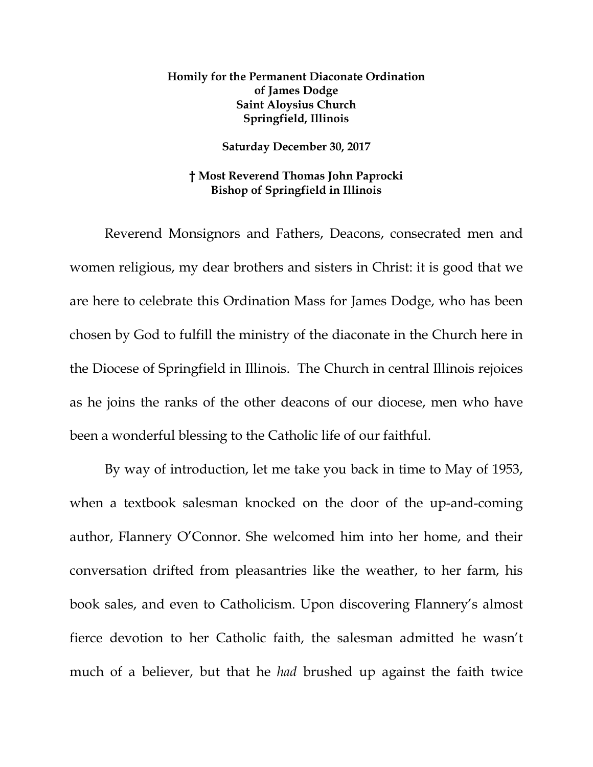## **Homily for the Permanent Diaconate Ordination of James Dodge Saint Aloysius Church Springfield, Illinois**

## **Saturday December 30, 2017**

## **† Most Reverend Thomas John Paprocki Bishop of Springfield in Illinois**

Reverend Monsignors and Fathers, Deacons, consecrated men and women religious, my dear brothers and sisters in Christ: it is good that we are here to celebrate this Ordination Mass for James Dodge, who has been chosen by God to fulfill the ministry of the diaconate in the Church here in the Diocese of Springfield in Illinois. The Church in central Illinois rejoices as he joins the ranks of the other deacons of our diocese, men who have been a wonderful blessing to the Catholic life of our faithful.

By way of introduction, let me take you back in time to May of 1953, when a textbook salesman knocked on the door of the up-and-coming author, Flannery O'Connor. She welcomed him into her home, and their conversation drifted from pleasantries like the weather, to her farm, his book sales, and even to Catholicism. Upon discovering Flannery's almost fierce devotion to her Catholic faith, the salesman admitted he wasn't much of a believer, but that he *had* brushed up against the faith twice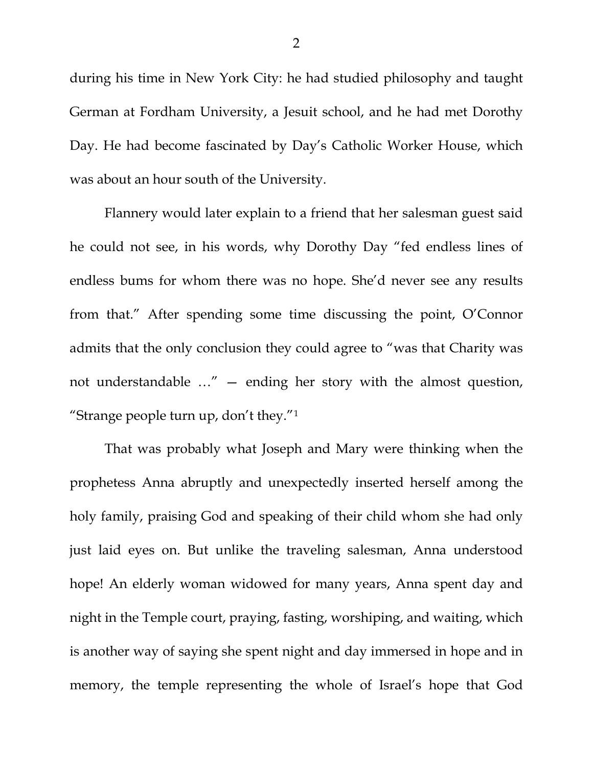during his time in New York City: he had studied philosophy and taught German at Fordham University, a Jesuit school, and he had met Dorothy Day. He had become fascinated by Day's Catholic Worker House, which was about an hour south of the University.

Flannery would later explain to a friend that her salesman guest said he could not see, in his words, why Dorothy Day "fed endless lines of endless bums for whom there was no hope. She'd never see any results from that." After spending some time discussing the point, O'Connor admits that the only conclusion they could agree to "was that Charity was not understandable …" — ending her story with the almost question, "Strange people turn up, don't they."[1](#page-5-0)

That was probably what Joseph and Mary were thinking when the prophetess Anna abruptly and unexpectedly inserted herself among the holy family, praising God and speaking of their child whom she had only just laid eyes on. But unlike the traveling salesman, Anna understood hope! An elderly woman widowed for many years, Anna spent day and night in the Temple court, praying, fasting, worshiping, and waiting, which is another way of saying she spent night and day immersed in hope and in memory, the temple representing the whole of Israel's hope that God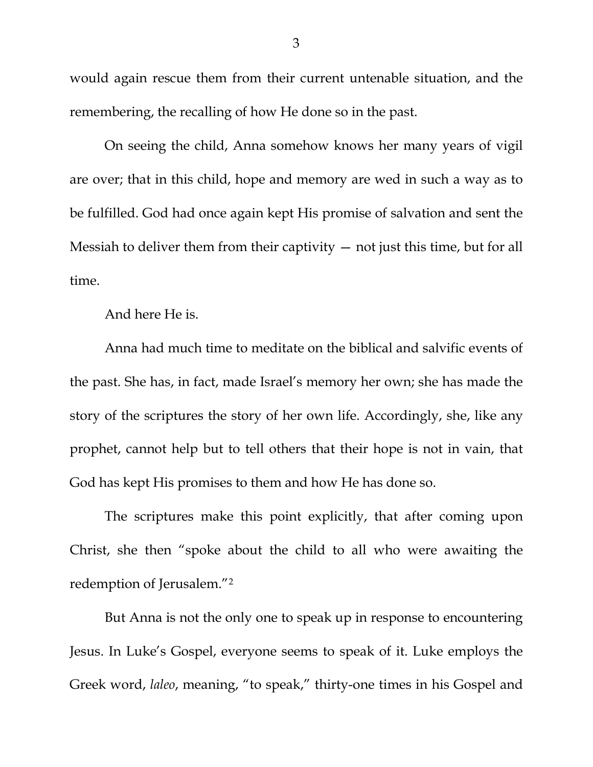would again rescue them from their current untenable situation, and the remembering, the recalling of how He done so in the past.

On seeing the child, Anna somehow knows her many years of vigil are over; that in this child, hope and memory are wed in such a way as to be fulfilled. God had once again kept His promise of salvation and sent the Messiah to deliver them from their captivity — not just this time, but for all time.

And here He is.

Anna had much time to meditate on the biblical and salvific events of the past. She has, in fact, made Israel's memory her own; she has made the story of the scriptures the story of her own life. Accordingly, she, like any prophet, cannot help but to tell others that their hope is not in vain, that God has kept His promises to them and how He has done so.

The scriptures make this point explicitly, that after coming upon Christ, she then "spoke about the child to all who were awaiting the redemption of Jerusalem.["2](#page-5-1)

But Anna is not the only one to speak up in response to encountering Jesus. In Luke's Gospel, everyone seems to speak of it. Luke employs the Greek word, *laleo*, meaning, "to speak," thirty-one times in his Gospel and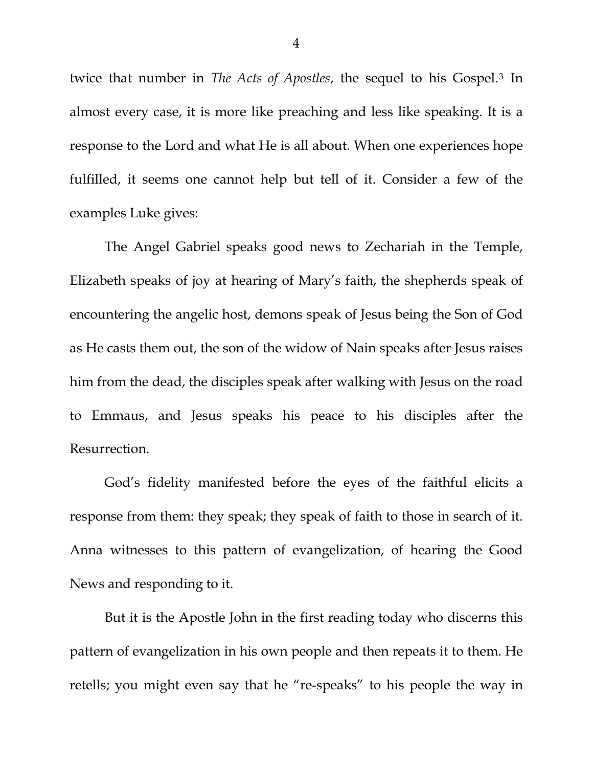twice that number in *The Acts of Apostles*, the sequel to his Gospel.[3](#page-5-2) In almost every case, it is more like preaching and less like speaking. It is a response to the Lord and what He is all about. When one experiences hope fulfilled, it seems one cannot help but tell of it. Consider a few of the examples Luke gives:

The Angel Gabriel speaks good news to Zechariah in the Temple, Elizabeth speaks of joy at hearing of Mary's faith, the shepherds speak of encountering the angelic host, demons speak of Jesus being the Son of God as He casts them out, the son of the widow of Nain speaks after Jesus raises him from the dead, the disciples speak after walking with Jesus on the road to Emmaus, and Jesus speaks his peace to his disciples after the Resurrection.

God's fidelity manifested before the eyes of the faithful elicits a response from them: they speak; they speak of faith to those in search of it. Anna witnesses to this pattern of evangelization, of hearing the Good News and responding to it.

But it is the Apostle John in the first reading today who discerns this pattern of evangelization in his own people and then repeats it to them. He retells; you might even say that he "re-speaks" to his people the way in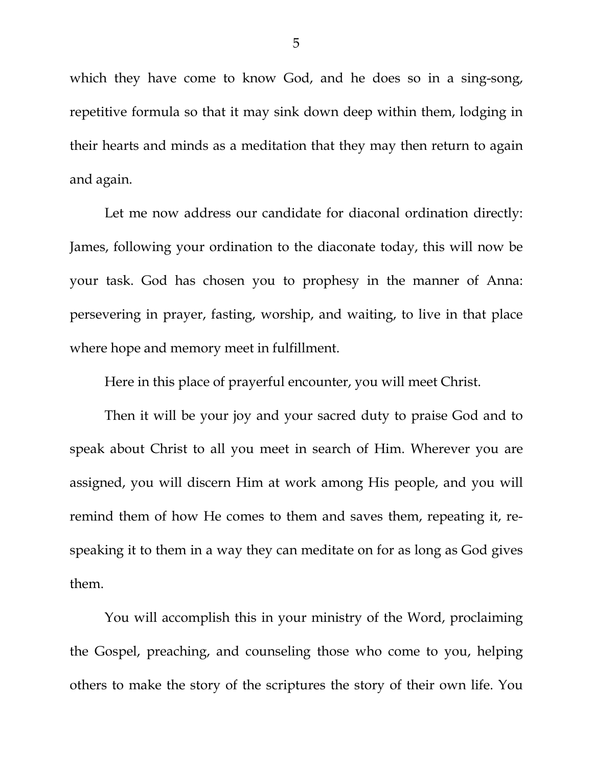which they have come to know God, and he does so in a sing-song, repetitive formula so that it may sink down deep within them, lodging in their hearts and minds as a meditation that they may then return to again and again.

Let me now address our candidate for diaconal ordination directly: James, following your ordination to the diaconate today, this will now be your task. God has chosen you to prophesy in the manner of Anna: persevering in prayer, fasting, worship, and waiting, to live in that place where hope and memory meet in fulfillment.

Here in this place of prayerful encounter, you will meet Christ.

Then it will be your joy and your sacred duty to praise God and to speak about Christ to all you meet in search of Him. Wherever you are assigned, you will discern Him at work among His people, and you will remind them of how He comes to them and saves them, repeating it, respeaking it to them in a way they can meditate on for as long as God gives them.

You will accomplish this in your ministry of the Word, proclaiming the Gospel, preaching, and counseling those who come to you, helping others to make the story of the scriptures the story of their own life. You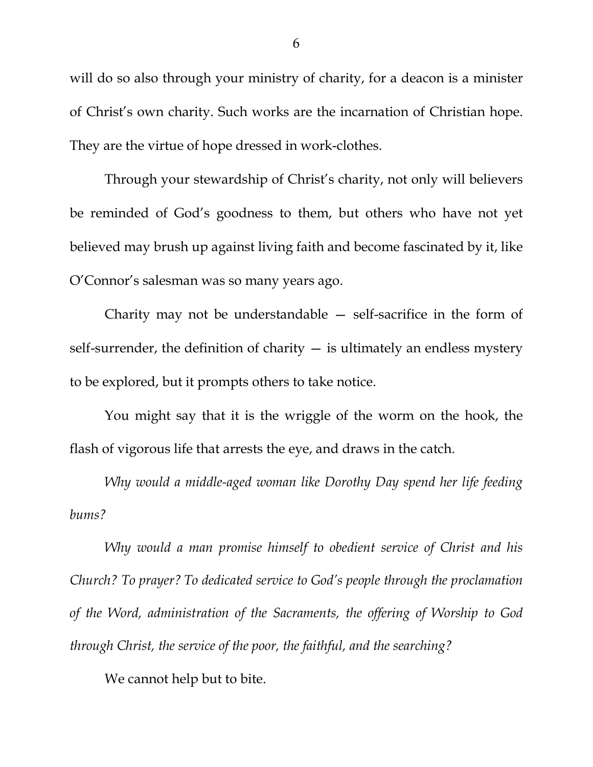will do so also through your ministry of charity, for a deacon is a minister of Christ's own charity. Such works are the incarnation of Christian hope. They are the virtue of hope dressed in work-clothes.

Through your stewardship of Christ's charity, not only will believers be reminded of God's goodness to them, but others who have not yet believed may brush up against living faith and become fascinated by it, like O'Connor's salesman was so many years ago.

Charity may not be understandable — self-sacrifice in the form of self-surrender, the definition of charity  $-$  is ultimately an endless mystery to be explored, but it prompts others to take notice.

You might say that it is the wriggle of the worm on the hook, the flash of vigorous life that arrests the eye, and draws in the catch.

*Why would a middle-aged woman like Dorothy Day spend her life feeding bums?*

<span id="page-5-2"></span><span id="page-5-1"></span><span id="page-5-0"></span>*Why would a man promise himself to obedient service of Christ and his Church? To prayer? To dedicated service to God's people through the proclamation of the Word, administration of the Sacraments, the offering of Worship to God through Christ, the service of the poor, the faithful, and the searching?*

We cannot help but to bite.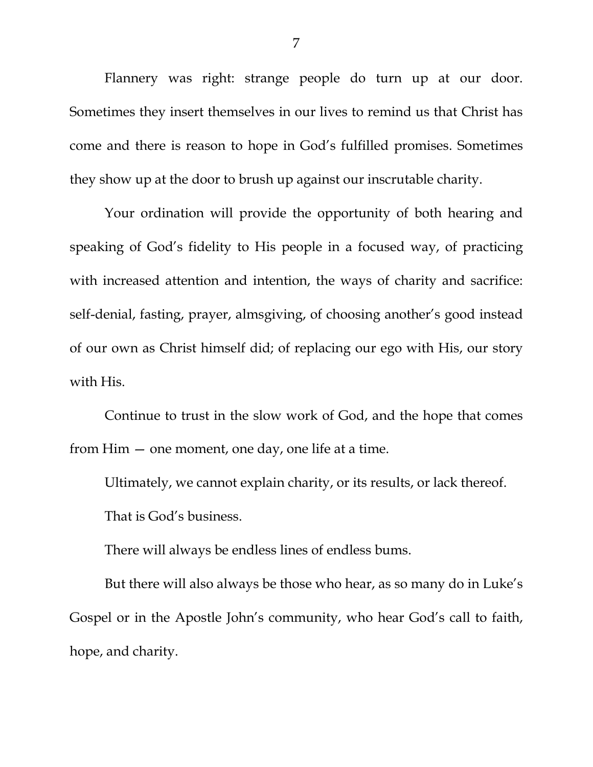Flannery was right: strange people do turn up at our door. Sometimes they insert themselves in our lives to remind us that Christ has come and there is reason to hope in God's fulfilled promises. Sometimes they show up at the door to brush up against our inscrutable charity.

Your ordination will provide the opportunity of both hearing and speaking of God's fidelity to His people in a focused way, of practicing with increased attention and intention, the ways of charity and sacrifice: self-denial, fasting, prayer, almsgiving, of choosing another's good instead of our own as Christ himself did; of replacing our ego with His, our story with His.

Continue to trust in the slow work of God, and the hope that comes from Him — one moment, one day, one life at a time.

Ultimately, we cannot explain charity, or its results, or lack thereof. That is God's business.

There will always be endless lines of endless bums.

But there will also always be those who hear, as so many do in Luke's Gospel or in the Apostle John's community, who hear God's call to faith, hope, and charity.